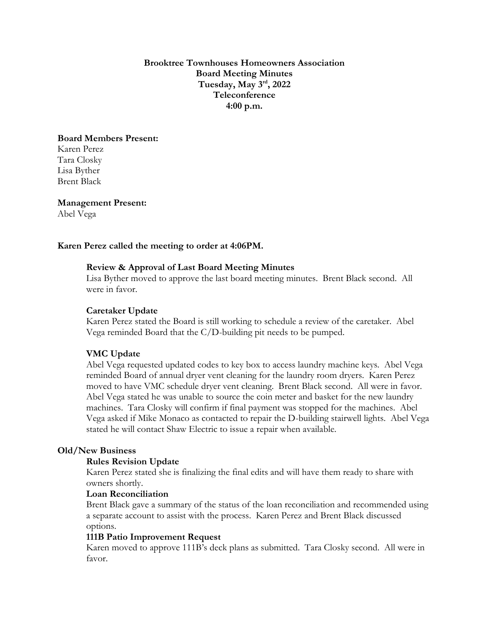**Brooktree Townhouses Homeowners Association Board Meeting Minutes Tuesday, May 3 rd, 2022 Teleconference 4:00 p.m.**

## **Board Members Present:**

Karen Perez Tara Closky Lisa Byther Brent Black

**Management Present:** Abel Vega

## **Karen Perez called the meeting to order at 4:06PM.**

## **Review & Approval of Last Board Meeting Minutes**

Lisa Byther moved to approve the last board meeting minutes. Brent Black second. All were in favor.

### **Caretaker Update**

Karen Perez stated the Board is still working to schedule a review of the caretaker. Abel Vega reminded Board that the C/D-building pit needs to be pumped.

### **VMC Update**

Abel Vega requested updated codes to key box to access laundry machine keys. Abel Vega reminded Board of annual dryer vent cleaning for the laundry room dryers. Karen Perez moved to have VMC schedule dryer vent cleaning. Brent Black second. All were in favor. Abel Vega stated he was unable to source the coin meter and basket for the new laundry machines. Tara Closky will confirm if final payment was stopped for the machines. Abel Vega asked if Mike Monaco as contacted to repair the D-building stairwell lights. Abel Vega stated he will contact Shaw Electric to issue a repair when available.

### **Old/New Business**

#### **Rules Revision Update**

Karen Perez stated she is finalizing the final edits and will have them ready to share with owners shortly.

# **Loan Reconciliation**

Brent Black gave a summary of the status of the loan reconciliation and recommended using a separate account to assist with the process. Karen Perez and Brent Black discussed options.

### **111B Patio Improvement Request**

Karen moved to approve 111B's deck plans as submitted. Tara Closky second. All were in favor.